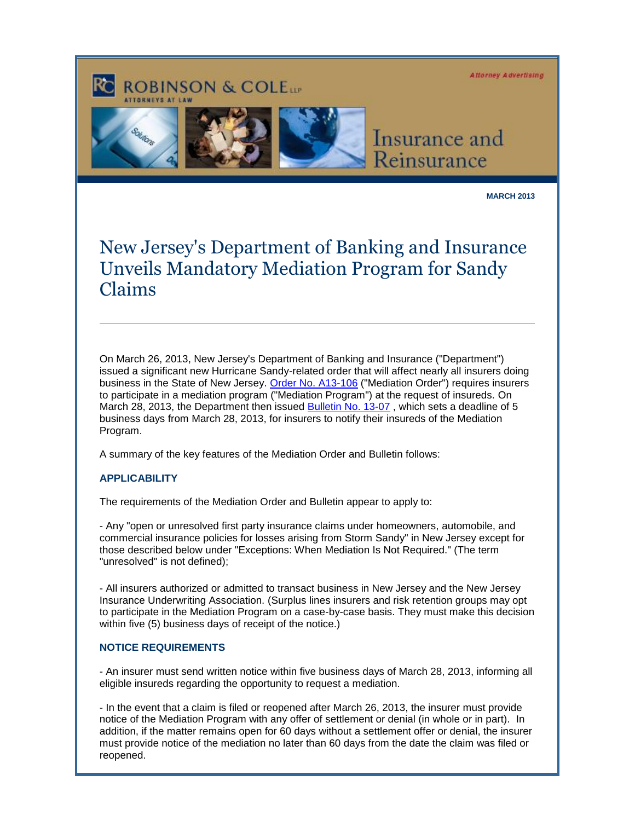**Attorney Advertising** 

# **ROBINSON & COLETT**



Insurance and Reinsurance

**MARCH 2013**

# New Jersey's Department of Banking and Insurance Unveils Mandatory Mediation Program for Sandy Claims

On March 26, 2013, New Jersey's Department of Banking and Insurance ("Department") issued a significant new Hurricane Sandy-related order that will affect nearly all insurers doing business in the State of New Jersey. [Order No. A13-106](http://cl.exct.net/?ju=fe1d17767360037c7c1c76&ls=fdb4157272670075741d79736d&m=fefb1671756c0d&l=fec811727763027c&s=fe2812727d670c7d771175&jb=ffcf14&t=) ("Mediation Order") requires insurers to participate in a mediation program ("Mediation Program") at the request of insureds. On March 28, 2013, the Department then issued [Bulletin No. 13-07](http://cl.exct.net/?ju=fe1c17767360037c7c1c77&ls=fdb4157272670075741d79736d&m=fefb1671756c0d&l=fec811727763027c&s=fe2812727d670c7d771175&jb=ffcf14&t=), which sets a deadline of 5 business days from March 28, 2013, for insurers to notify their insureds of the Mediation Program.

A summary of the key features of the Mediation Order and Bulletin follows:

## **APPLICABILITY**

The requirements of the Mediation Order and Bulletin appear to apply to:

- Any "open or unresolved first party insurance claims under homeowners, automobile, and commercial insurance policies for losses arising from Storm Sandy" in New Jersey except for those described below under "Exceptions: When Mediation Is Not Required." (The term "unresolved" is not defined);

- All insurers authorized or admitted to transact business in New Jersey and the New Jersey Insurance Underwriting Association. (Surplus lines insurers and risk retention groups may opt to participate in the Mediation Program on a case-by-case basis. They must make this decision within five (5) business days of receipt of the notice.)

#### **NOTICE REQUIREMENTS**

- An insurer must send written notice within five business days of March 28, 2013, informing all eligible insureds regarding the opportunity to request a mediation.

- In the event that a claim is filed or reopened after March 26, 2013, the insurer must provide notice of the Mediation Program with any offer of settlement or denial (in whole or in part). In addition, if the matter remains open for 60 days without a settlement offer or denial, the insurer must provide notice of the mediation no later than 60 days from the date the claim was filed or reopened.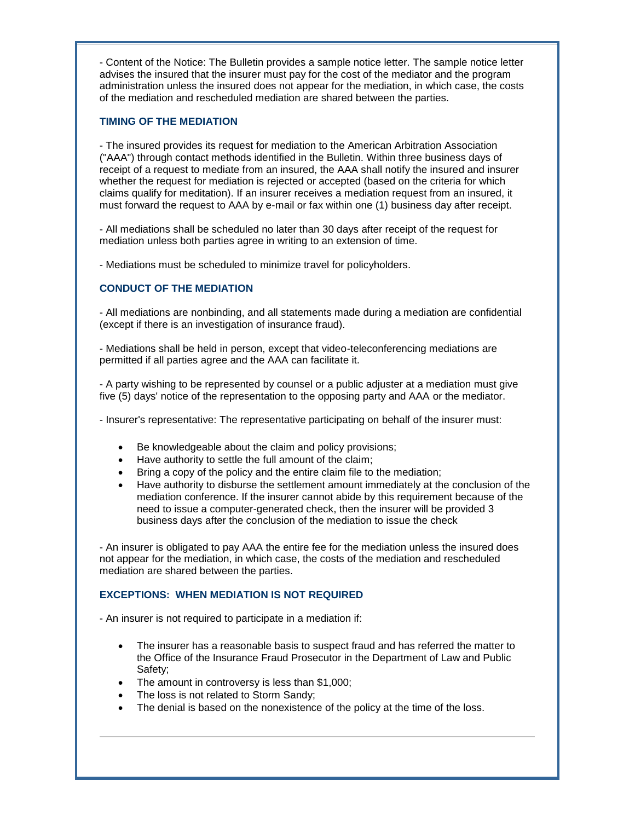- Content of the Notice: The Bulletin provides a sample notice letter. The sample notice letter advises the insured that the insurer must pay for the cost of the mediator and the program administration unless the insured does not appear for the mediation, in which case, the costs of the mediation and rescheduled mediation are shared between the parties.

#### **TIMING OF THE MEDIATION**

- The insured provides its request for mediation to the American Arbitration Association ("AAA") through contact methods identified in the Bulletin. Within three business days of receipt of a request to mediate from an insured, the AAA shall notify the insured and insurer whether the request for mediation is rejected or accepted (based on the criteria for which claims qualify for meditation). If an insurer receives a mediation request from an insured, it must forward the request to AAA by e-mail or fax within one (1) business day after receipt.

- All mediations shall be scheduled no later than 30 days after receipt of the request for mediation unless both parties agree in writing to an extension of time.

- Mediations must be scheduled to minimize travel for policyholders.

# **CONDUCT OF THE MEDIATION**

- All mediations are nonbinding, and all statements made during a mediation are confidential (except if there is an investigation of insurance fraud).

- Mediations shall be held in person, except that video-teleconferencing mediations are permitted if all parties agree and the AAA can facilitate it.

- A party wishing to be represented by counsel or a public adjuster at a mediation must give five (5) days' notice of the representation to the opposing party and AAA or the mediator.

- Insurer's representative: The representative participating on behalf of the insurer must:

- Be knowledgeable about the claim and policy provisions;
- Have authority to settle the full amount of the claim;
- Bring a copy of the policy and the entire claim file to the mediation;
- Have authority to disburse the settlement amount immediately at the conclusion of the mediation conference. If the insurer cannot abide by this requirement because of the need to issue a computer-generated check, then the insurer will be provided 3 business days after the conclusion of the mediation to issue the check

- An insurer is obligated to pay AAA the entire fee for the mediation unless the insured does not appear for the mediation, in which case, the costs of the mediation and rescheduled mediation are shared between the parties.

## **EXCEPTIONS: WHEN MEDIATION IS NOT REQUIRED**

- An insurer is not required to participate in a mediation if:

- The insurer has a reasonable basis to suspect fraud and has referred the matter to the Office of the Insurance Fraud Prosecutor in the Department of Law and Public Safety;
- The amount in controversy is less than \$1,000;
- The loss is not related to Storm Sandy;
- The denial is based on the nonexistence of the policy at the time of the loss.